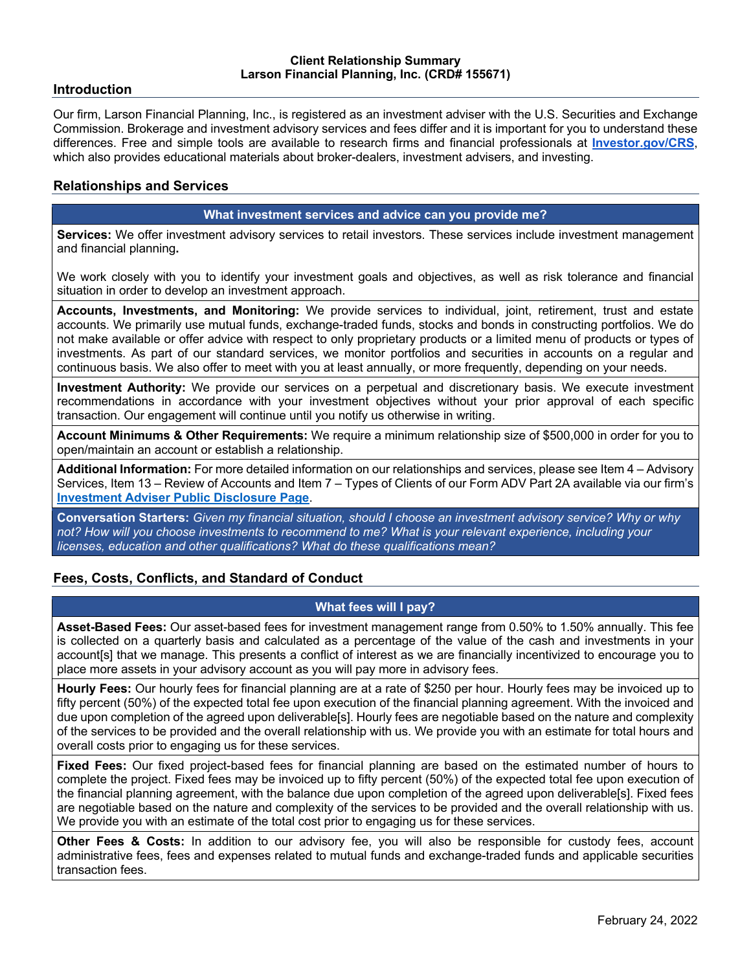#### **Client Relationship Summary Larson Financial Planning, Inc. (CRD# 155671)**

### **Introduction**

Our firm, Larson Financial Planning, Inc., is registered as an investment adviser with the U.S. Securities and Exchange Commission. Brokerage and investment advisory services and fees differ and it is important for you to understand these differences. Free and simple tools are available to research firms and financial professionals at **Investor.gov/CRS**, which also provides educational materials about broker-dealers, investment advisers, and investing.

## **Relationships and Services**

#### **What investment services and advice can you provide me?**

**Services:** We offer investment advisory services to retail investors. These services include investment management and financial planning**.**

We work closely with you to identify your investment goals and objectives, as well as risk tolerance and financial situation in order to develop an investment approach.

**Accounts, Investments, and Monitoring:** We provide services to individual, joint, retirement, trust and estate accounts. We primarily use mutual funds, exchange-traded funds, stocks and bonds in constructing portfolios. We do not make available or offer advice with respect to only proprietary products or a limited menu of products or types of investments. As part of our standard services, we monitor portfolios and securities in accounts on a regular and continuous basis. We also offer to meet with you at least annually, or more frequently, depending on your needs.

**Investment Authority:** We provide our services on a perpetual and discretionary basis. We execute investment recommendations in accordance with your investment objectives without your prior approval of each specific transaction. Our engagement will continue until you notify us otherwise in writing.

**Account Minimums & Other Requirements:** We require a minimum relationship size of \$500,000 in order for you to open/maintain an account or establish a relationship.

**Additional Information:** For more detailed information on our relationships and services, please see Item 4 – Advisory Services, Item 13 – Review of Accounts and Item 7 – Types of Clients of our Form ADV Part 2A available via our firm's **Investment Adviser Public Disclosure Page**.

**Conversation Starters:** *Given my financial situation, should I choose an investment advisory service? Why or why not? How will you choose investments to recommend to me? What is your relevant experience, including your licenses, education and other qualifications? What do these qualifications mean?*

## **Fees, Costs, Conflicts, and Standard of Conduct**

## **What fees will I pay?**

**Asset-Based Fees:** Our asset-based fees for investment management range from 0.50% to 1.50% annually. This fee is collected on a quarterly basis and calculated as a percentage of the value of the cash and investments in your account[s] that we manage. This presents a conflict of interest as we are financially incentivized to encourage you to place more assets in your advisory account as you will pay more in advisory fees.

**Hourly Fees:** Our hourly fees for financial planning are at a rate of \$250 per hour. Hourly fees may be invoiced up to fifty percent (50%) of the expected total fee upon execution of the financial planning agreement. With the invoiced and due upon completion of the agreed upon deliverable[s]. Hourly fees are negotiable based on the nature and complexity of the services to be provided and the overall relationship with us. We provide you with an estimate for total hours and overall costs prior to engaging us for these services.

**Fixed Fees:** Our fixed project-based fees for financial planning are based on the estimated number of hours to complete the project. Fixed fees may be invoiced up to fifty percent (50%) of the expected total fee upon execution of the financial planning agreement, with the balance due upon completion of the agreed upon deliverable[s]. Fixed fees are negotiable based on the nature and complexity of the services to be provided and the overall relationship with us. We provide you with an estimate of the total cost prior to engaging us for these services.

**Other Fees & Costs:** In addition to our advisory fee, you will also be responsible for custody fees, account administrative fees, fees and expenses related to mutual funds and exchange-traded funds and applicable securities transaction fees.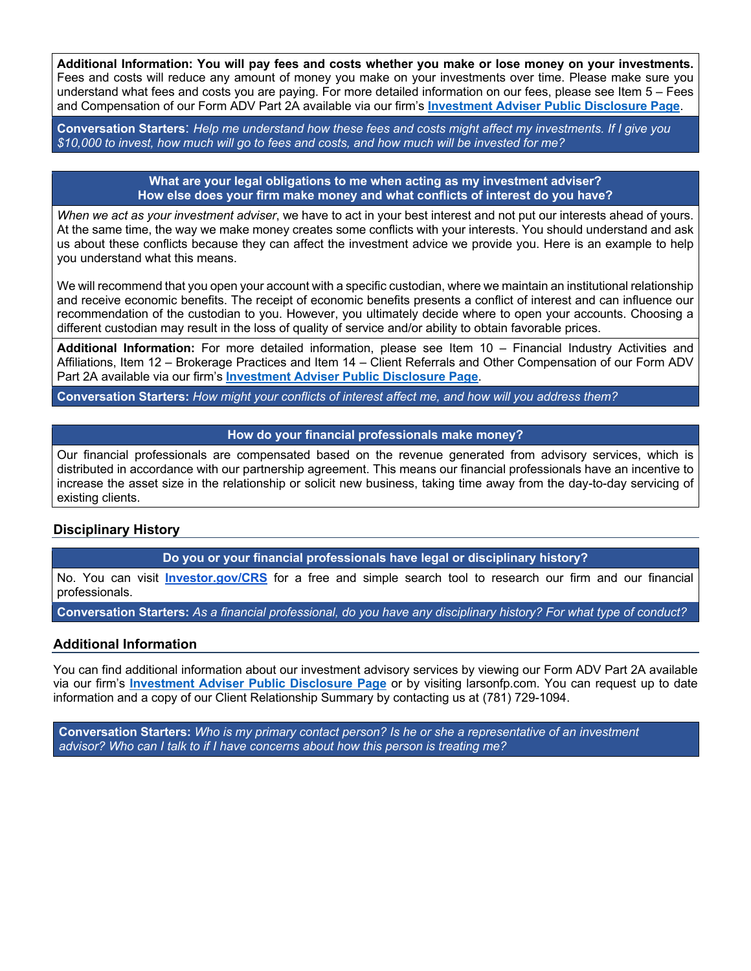**Additional Information: You will pay fees and costs whether you make or lose money on your investments.**  Fees and costs will reduce any amount of money you make on your investments over time. Please make sure you understand what fees and costs you are paying. For more detailed information on our fees, please see Item 5 – Fees and Compensation of our Form ADV Part 2A available via our firm's **Investment Adviser Public Disclosure Page**.

**Conversation Starters**: *Help me understand how these fees and costs might affect my investments. If I give you \$10,000 to invest, how much will go to fees and costs, and how much will be invested for me?*

> **What are your legal obligations to me when acting as my investment adviser? How else does your firm make money and what conflicts of interest do you have?**

*When we act as your investment adviser*, we have to act in your best interest and not put our interests ahead of yours. At the same time, the way we make money creates some conflicts with your interests. You should understand and ask us about these conflicts because they can affect the investment advice we provide you. Here is an example to help you understand what this means.

We will recommend that you open your account with a specific custodian, where we maintain an institutional relationship and receive economic benefits. The receipt of economic benefits presents a conflict of interest and can influence our recommendation of the custodian to you. However, you ultimately decide where to open your accounts. Choosing a different custodian may result in the loss of quality of service and/or ability to obtain favorable prices.

**Additional Information:** For more detailed information, please see Item 10 – Financial Industry Activities and Affiliations, Item 12 – Brokerage Practices and Item 14 – Client Referrals and Other Compensation of our Form ADV Part 2A available via our firm's **Investment Adviser Public Disclosure Page**.

**Conversation Starters:** *How might your conflicts of interest affect me, and how will you address them?*

#### **How do your financial professionals make money?**

Our financial professionals are compensated based on the revenue generated from advisory services, which is distributed in accordance with our partnership agreement. This means our financial professionals have an incentive to increase the asset size in the relationship or solicit new business, taking time away from the day-to-day servicing of existing clients.

## **Disciplinary History**

**Do you or your financial professionals have legal or disciplinary history?**

No. You can visit **Investor.gov/CRS** for a free and simple search tool to research our firm and our financial professionals.

**Conversation Starters:** *As a financial professional, do you have any disciplinary history? For what type of conduct?*

#### **Additional Information**

You can find additional information about our investment advisory services by viewing our Form ADV Part 2A available via our firm's **Investment Adviser Public Disclosure Page** or by visiting larsonfp.com. You can request up to date information and a copy of our Client Relationship Summary by contacting us at (781) 729-1094.

**Conversation Starters:** *Who is my primary contact person? Is he or she a representative of an investment advisor? Who can I talk to if I have concerns about how this person is treating me?*